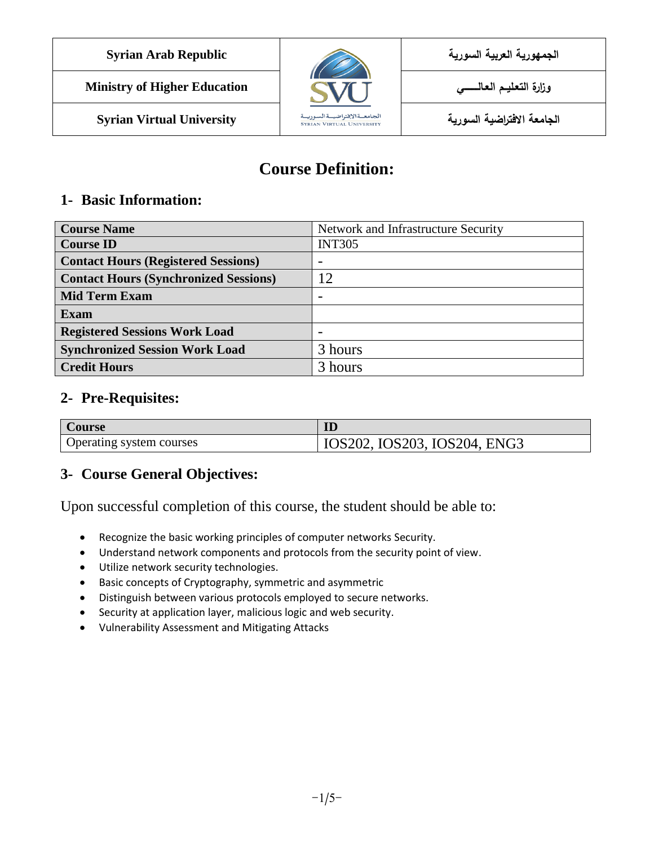| <b>Syrian Arab Republic</b> | <b>Contract on the Contract of the Contract of The Contract of The Contract of The Contract of The Contract of The Contract of The Contract of The Contract of The Contract of The Contract of The Contract of The Contract of T</b> | الجمهورية العربية السورية |
|-----------------------------|--------------------------------------------------------------------------------------------------------------------------------------------------------------------------------------------------------------------------------------|---------------------------|
|                             |                                                                                                                                                                                                                                      |                           |

**الجامعة االفتراضية السورية University Virtual Syrian**



# **Course Definition:**

### **1- Basic Information:**

| <b>Course Name</b>                           | Network and Infrastructure Security |
|----------------------------------------------|-------------------------------------|
| <b>Course ID</b>                             | <b>INT305</b>                       |
| <b>Contact Hours (Registered Sessions)</b>   |                                     |
| <b>Contact Hours (Synchronized Sessions)</b> | 12                                  |
| <b>Mid Term Exam</b>                         |                                     |
| <b>Exam</b>                                  |                                     |
| <b>Registered Sessions Work Load</b>         | -                                   |
| <b>Synchronized Session Work Load</b>        | 3 hours                             |
| <b>Credit Hours</b>                          | 3 hours                             |

#### **2- Pre-Requisites:**

| <b>Course</b>            | ID                           |
|--------------------------|------------------------------|
| Operating system courses | IOS202, IOS203, IOS204, ENG3 |

## **3- Course General Objectives:**

Upon successful completion of this course, the student should be able to:

- Recognize the basic working principles of computer networks Security.
- Understand network components and protocols from the security point of view.
- Utilize network security technologies.
- Basic concepts of Cryptography, symmetric and asymmetric
- Distinguish between various protocols employed to secure networks.
- Security at application layer, malicious logic and web security.
- Vulnerability Assessment and Mitigating Attacks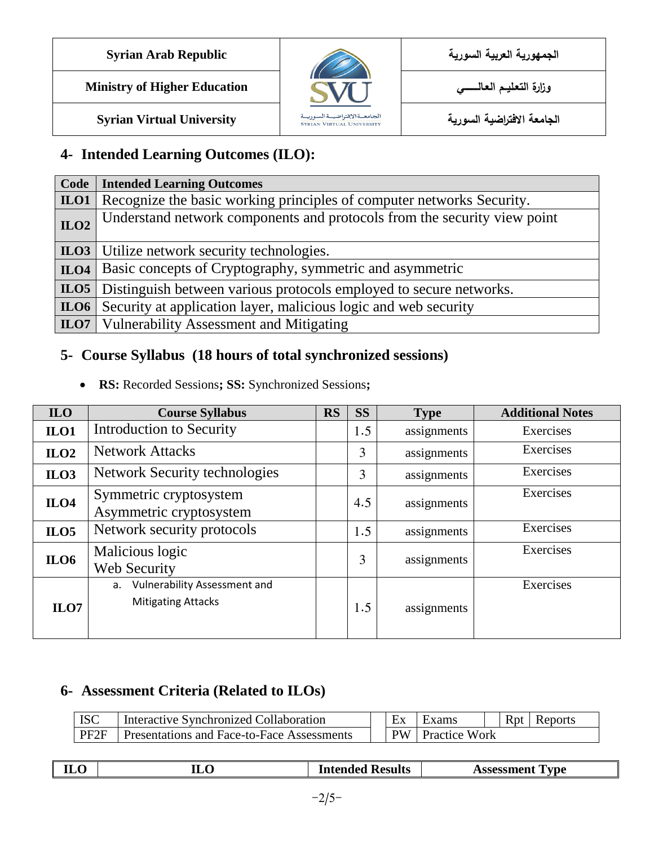



## **4- Intended Learning Outcomes (ILO):**

|      | <b>Code</b>   Intended Learning Outcomes                                          |
|------|-----------------------------------------------------------------------------------|
|      | <b>ILO1</b> Recognize the basic working principles of computer networks Security. |
| ILO2 | Understand network components and protocols from the security view point          |
|      | <b>ILO3</b> Utilize network security technologies.                                |
|      | <b>ILO4</b> Basic concepts of Cryptography, symmetric and asymmetric              |
|      | <b>ILO5</b> Distinguish between various protocols employed to secure networks.    |
| ILO6 | Security at application layer, malicious logic and web security                   |
|      | <b>ILO7</b> Vulnerability Assessment and Mitigating                               |

## **5- Course Syllabus (18 hours of total synchronized sessions)**

**RS:** Recorded Sessions**; SS:** Synchronized Sessions**;** 

| <b>ILO</b>       | <b>Course Syllabus</b>                                          | <b>RS</b> | <b>SS</b> | <b>Type</b> | <b>Additional Notes</b> |
|------------------|-----------------------------------------------------------------|-----------|-----------|-------------|-------------------------|
| ILO1             | Introduction to Security                                        |           | 1.5       | assignments | Exercises               |
| ILO2             | <b>Network Attacks</b>                                          |           | 3         | assignments | Exercises               |
| ILO3             | <b>Network Security technologies</b>                            |           | 3         | assignments | Exercises               |
| ILO <sub>4</sub> | Symmetric cryptosystem<br>Asymmetric cryptosystem               |           | 4.5       | assignments | Exercises               |
| ILO5             | Network security protocols                                      |           | 1.5       | assignments | Exercises               |
| ILO6             | Malicious logic<br>Web Security                                 |           | 3         | assignments | Exercises               |
| $_{\text{ILO}7}$ | Vulnerability Assessment and<br>a.<br><b>Mitigating Attacks</b> |           | 1.5       | assignments | Exercises               |

## **6- Assessment Criteria (Related to ILOs)**

| <b>ISC</b>       | Interactive Synchronized Collaboration     | Ex        | Exams                | Rpt | Reports |
|------------------|--------------------------------------------|-----------|----------------------|-----|---------|
| PF <sub>2F</sub> | Presentations and Face-to-Face Assessments | <b>PW</b> | <b>Practice Work</b> |     |         |

| $\sim$<br>$\cdot$<br>-- | --<br>-<br><b>ILU</b> | Kesults<br>In١<br>$-0.22 - 0.2$<br>.<br>-INC. | `vne :<br>.<br>. |
|-------------------------|-----------------------|-----------------------------------------------|------------------|
|                         |                       |                                               |                  |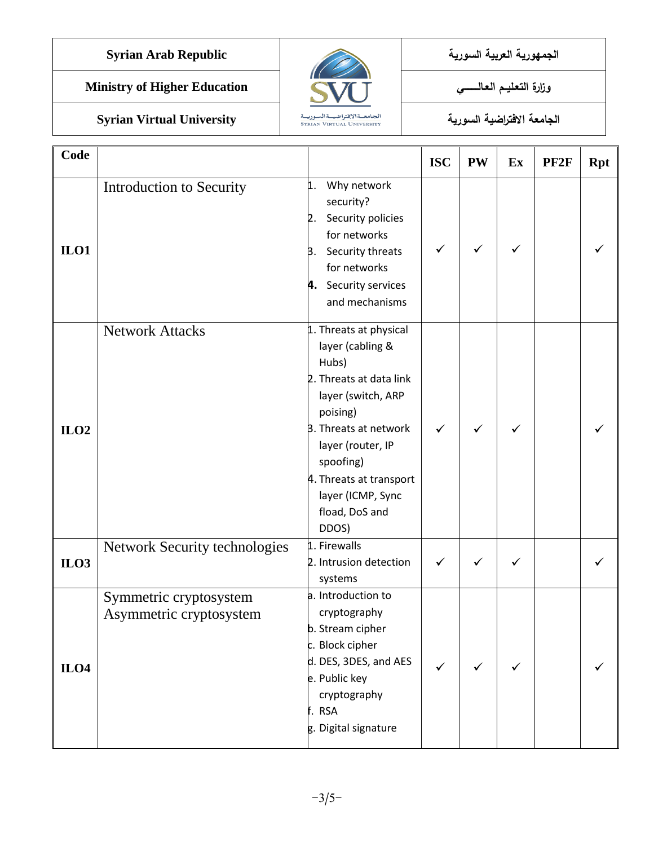**الجمهورية العربية السورية Republic Arab Syrian**

**Ministry of Higher Education العـالـــــــــي التعـليــم وزارة**

**الجامعة االفتراضية السورية University Virtual Syrian**



| Code |                                                   |                                                                                                                                                                                                                                                               | <b>ISC</b> | <b>PW</b>    | Ex           | PF <sub>2F</sub> | <b>Rpt</b> |
|------|---------------------------------------------------|---------------------------------------------------------------------------------------------------------------------------------------------------------------------------------------------------------------------------------------------------------------|------------|--------------|--------------|------------------|------------|
| ILO1 | Introduction to Security                          | Why network<br>1.<br>security?<br>Security policies<br>2.<br>for networks<br>Security threats<br>Β.<br>for networks<br>4. Security services<br>and mechanisms                                                                                                 | ✓          | ✓            | ✓            |                  |            |
| ILO2 | <b>Network Attacks</b>                            | 1. Threats at physical<br>layer (cabling &<br>Hubs)<br>2. Threats at data link<br>layer (switch, ARP<br>poising)<br><b>B.</b> Threats at network<br>layer (router, IP<br>spoofing)<br>4. Threats at transport<br>layer (ICMP, Sync<br>fload, DoS and<br>DDOS) | ✓          | ✓            | ✓            |                  |            |
| ILO3 | <b>Network Security technologies</b>              | 1. Firewalls<br>2. Intrusion detection<br>systems                                                                                                                                                                                                             | ✓          | $\checkmark$ | $\checkmark$ |                  |            |
| ILO4 | Symmetric cryptosystem<br>Asymmetric cryptosystem | a. Introduction to<br>cryptography<br>b. Stream cipher<br>c. Block cipher<br>d. DES, 3DES, and AES<br>e. Public key<br>cryptography<br>f. RSA<br>g. Digital signature                                                                                         | ✓          | $\checkmark$ | ✓            |                  |            |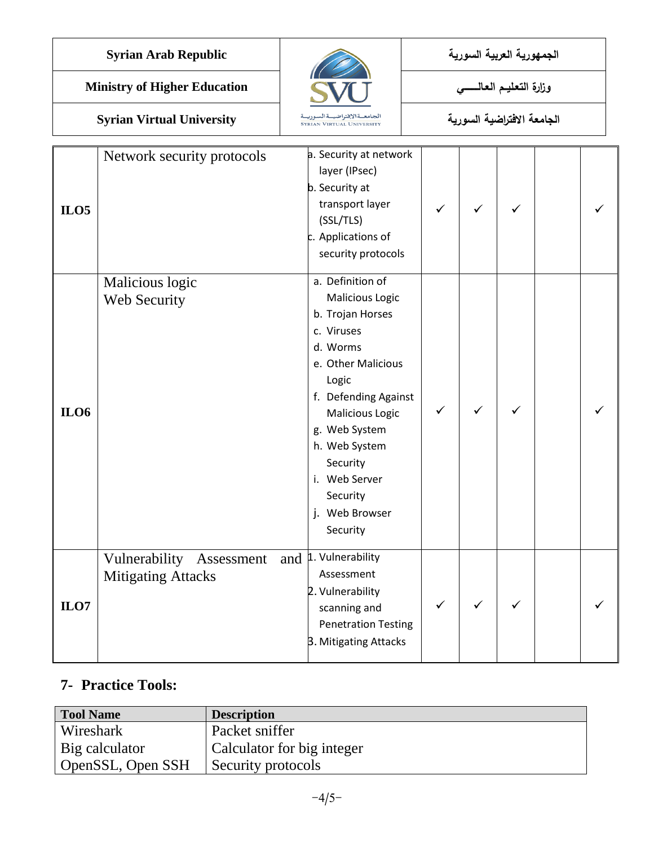**الجمهورية العربية السورية Republic Arab Syrian**

**الجامعة االفتراضية السورية University Virtual Syrian**



| ILO <sub>5</sub> | Network security protocols                                                 | a. Security at network<br>layer (IPsec)<br>b. Security at<br>transport layer<br>(SSL/TLS)<br>c. Applications of<br>security protocols                                                                                                                                       | ✓ | ✓ | ✓ |  |
|------------------|----------------------------------------------------------------------------|-----------------------------------------------------------------------------------------------------------------------------------------------------------------------------------------------------------------------------------------------------------------------------|---|---|---|--|
| <b>ILO6</b>      | Malicious logic<br>Web Security                                            | a. Definition of<br>Malicious Logic<br>b. Trojan Horses<br>c. Viruses<br>d. Worms<br>e. Other Malicious<br>Logic<br>f. Defending Against<br><b>Malicious Logic</b><br>g. Web System<br>h. Web System<br>Security<br>i. Web Server<br>Security<br>j. Web Browser<br>Security | ✓ |   |   |  |
| ILO7             | Vulnerability Assessment and L. Vulnerability<br><b>Mitigating Attacks</b> | Assessment<br>2. Vulnerability<br>scanning and<br><b>Penetration Testing</b><br>3. Mitigating Attacks                                                                                                                                                                       | ✓ |   |   |  |

## **7- Practice Tools:**

| <b>Tool Name</b>  | <b>Description</b>         |
|-------------------|----------------------------|
| Wireshark         | Packet sniffer             |
| Big calculator    | Calculator for big integer |
| OpenSSL, Open SSH | Security protocols         |